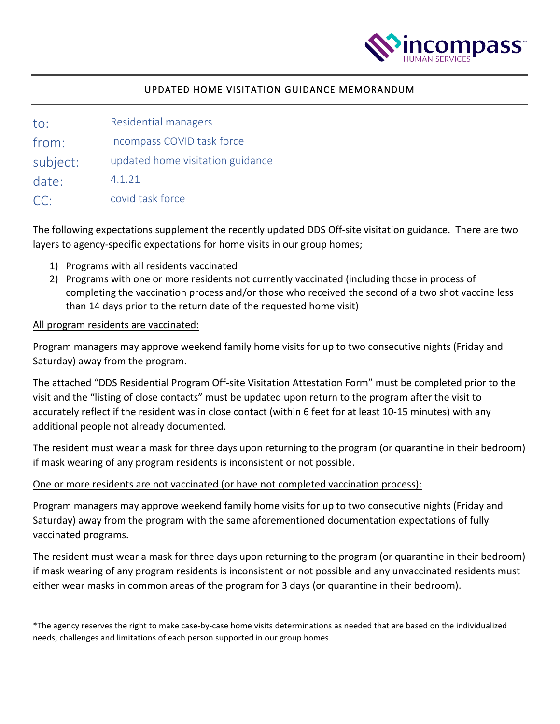

### UPDATED HOME VISITATION GUIDANCE MEMORANDUM

| to:      | Residential managers             |
|----------|----------------------------------|
| from:    | Incompass COVID task force       |
| subject: | updated home visitation guidance |
| date:    | 4.1.21                           |
| CC:      | covid task force                 |

The following expectations supplement the recently updated DDS Off-site visitation guidance. There are two layers to agency-specific expectations for home visits in our group homes;

- 1) Programs with all residents vaccinated
- 2) Programs with one or more residents not currently vaccinated (including those in process of completing the vaccination process and/or those who received the second of a two shot vaccine less than 14 days prior to the return date of the requested home visit)

#### All program residents are vaccinated:

Program managers may approve weekend family home visits for up to two consecutive nights (Friday and Saturday) away from the program.

The attached "DDS Residential Program Off-site Visitation Attestation Form" must be completed prior to the visit and the "listing of close contacts" must be updated upon return to the program after the visit to accurately reflect if the resident was in close contact (within 6 feet for at least 10-15 minutes) with any additional people not already documented.

The resident must wear a mask for three days upon returning to the program (or quarantine in their bedroom) if mask wearing of any program residents is inconsistent or not possible.

#### One or more residents are not vaccinated (or have not completed vaccination process):

Program managers may approve weekend family home visits for up to two consecutive nights (Friday and Saturday) away from the program with the same aforementioned documentation expectations of fully vaccinated programs.

The resident must wear a mask for three days upon returning to the program (or quarantine in their bedroom) if mask wearing of any program residents is inconsistent or not possible and any unvaccinated residents must either wear masks in common areas of the program for 3 days (or quarantine in their bedroom).

\*The agency reserves the right to make case-by-case home visits determinations as needed that are based on the individualized needs, challenges and limitations of each person supported in our group homes.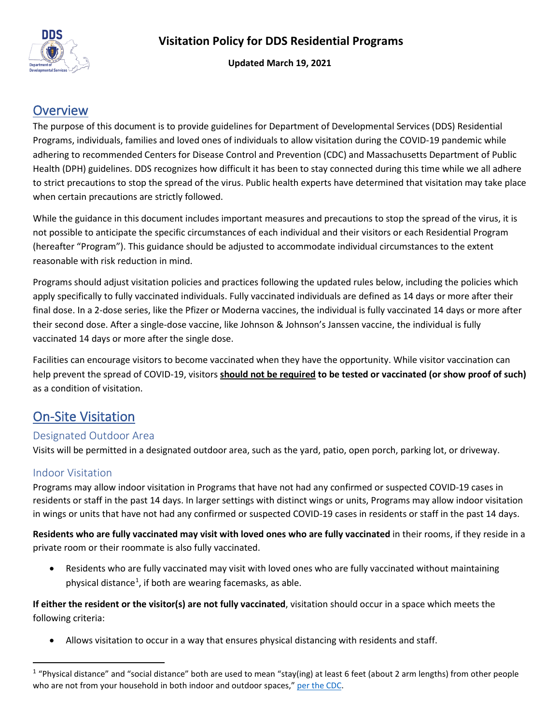

**Updated March 19, 2021**

## **Overview**

The purpose of this document is to provide guidelines for Department of Developmental Services (DDS) Residential Programs, individuals, families and loved ones of individuals to allow visitation during the COVID-19 pandemic while adhering to recommended Centers for Disease Control and Prevention (CDC) and Massachusetts Department of Public Health (DPH) guidelines. DDS recognizes how difficult it has been to stay connected during this time while we all adhere to strict precautions to stop the spread of the virus. Public health experts have determined that visitation may take place when certain precautions are strictly followed.

While the guidance in this document includes important measures and precautions to stop the spread of the virus, it is not possible to anticipate the specific circumstances of each individual and their visitors or each Residential Program (hereafter "Program"). This guidance should be adjusted to accommodate individual circumstances to the extent reasonable with risk reduction in mind.

Programs should adjust visitation policies and practices following the updated rules below, including the policies which apply specifically to fully vaccinated individuals. Fully vaccinated individuals are defined as 14 days or more after their final dose. In a 2-dose series, like the Pfizer or Moderna vaccines, the individual is fully vaccinated 14 days or more after their second dose. After a single-dose vaccine, like Johnson & Johnson's Janssen vaccine, the individual is fully vaccinated 14 days or more after the single dose.

Facilities can encourage visitors to become vaccinated when they have the opportunity. While visitor vaccination can help prevent the spread of COVID-19, visitors **should not be required to be tested or vaccinated (or show proof of such)** as a condition of visitation.

# On-Site Visitation

### Designated Outdoor Area

Visits will be permitted in a designated outdoor area, such as the yard, patio, open porch, parking lot, or driveway.

### Indoor Visitation

Programs may allow indoor visitation in Programs that have not had any confirmed or suspected COVID-19 cases in residents or staff in the past 14 days. In larger settings with distinct wings or units, Programs may allow indoor visitation in wings or units that have not had any confirmed or suspected COVID-19 cases in residents or staff in the past 14 days.

**Residents who are fully vaccinated may visit with loved ones who are fully vaccinated** in their rooms, if they reside in a private room or their roommate is also fully vaccinated.

• Residents who are fully vaccinated may visit with loved ones who are fully vaccinated without maintaining physical distance<sup>[1](#page-1-0)</sup>, if both are wearing facemasks, as able.

**If either the resident or the visitor(s) are not fully vaccinated**, visitation should occur in a space which meets the following criteria:

• Allows visitation to occur in a way that ensures physical distancing with residents and staff.

<span id="page-1-0"></span> $1$  "Physical distance" and "social distance" both are used to mean "stay(ing) at least 6 feet (about 2 arm lengths) from other people who are not from your household in both indoor and outdoor spaces,[" per the CDC.](https://www.cdc.gov/coronavirus/2019-ncov/prevent-getting-sick/social-distancing.html)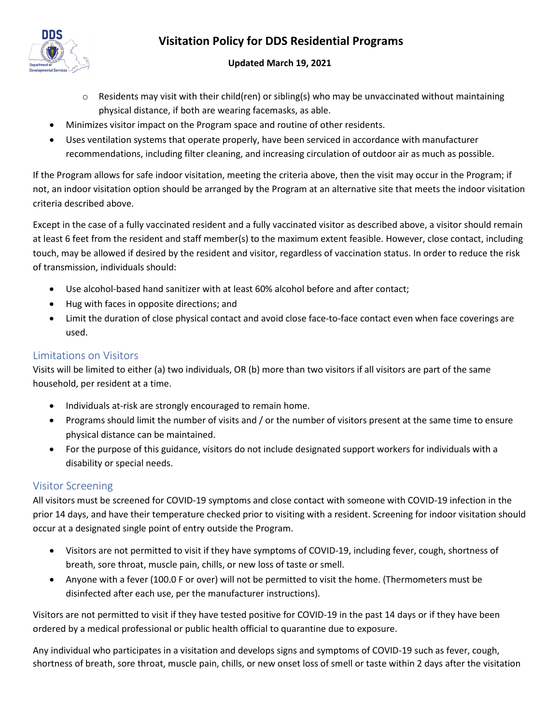

### **Updated March 19, 2021**

- $\circ$  Residents may visit with their child(ren) or sibling(s) who may be unvaccinated without maintaining physical distance, if both are wearing facemasks, as able.
- Minimizes visitor impact on the Program space and routine of other residents.
- Uses ventilation systems that operate properly, have been serviced in accordance with manufacturer recommendations, including filter cleaning, and increasing circulation of outdoor air as much as possible.

If the Program allows for safe indoor visitation, meeting the criteria above, then the visit may occur in the Program; if not, an indoor visitation option should be arranged by the Program at an alternative site that meets the indoor visitation criteria described above.

Except in the case of a fully vaccinated resident and a fully vaccinated visitor as described above, a visitor should remain at least 6 feet from the resident and staff member(s) to the maximum extent feasible. However, close contact, including touch, may be allowed if desired by the resident and visitor, regardless of vaccination status. In order to reduce the risk of transmission, individuals should:

- Use alcohol-based hand sanitizer with at least 60% alcohol before and after contact;
- Hug with faces in opposite directions; and
- Limit the duration of close physical contact and avoid close face-to-face contact even when face coverings are used.

### Limitations on Visitors

Visits will be limited to either (a) two individuals, OR (b) more than two visitors if all visitors are part of the same household, per resident at a time.

- Individuals at-risk are strongly encouraged to remain home.
- Programs should limit the number of visits and / or the number of visitors present at the same time to ensure physical distance can be maintained.
- For the purpose of this guidance, visitors do not include designated support workers for individuals with a disability or special needs.

## Visitor Screening

All visitors must be screened for COVID-19 symptoms and close contact with someone with COVID-19 infection in the prior 14 days, and have their temperature checked prior to visiting with a resident. Screening for indoor visitation should occur at a designated single point of entry outside the Program.

- Visitors are not permitted to visit if they have symptoms of COVID-19, including fever, cough, shortness of breath, sore throat, muscle pain, chills, or new loss of taste or smell.
- Anyone with a fever (100.0 F or over) will not be permitted to visit the home. (Thermometers must be disinfected after each use, per the manufacturer instructions).

Visitors are not permitted to visit if they have tested positive for COVID-19 in the past 14 days or if they have been ordered by a medical professional or public health official to quarantine due to exposure.

Any individual who participates in a visitation and develops signs and symptoms of COVID-19 such as fever, cough, shortness of breath, sore throat, muscle pain, chills, or new onset loss of smell or taste within 2 days after the visitation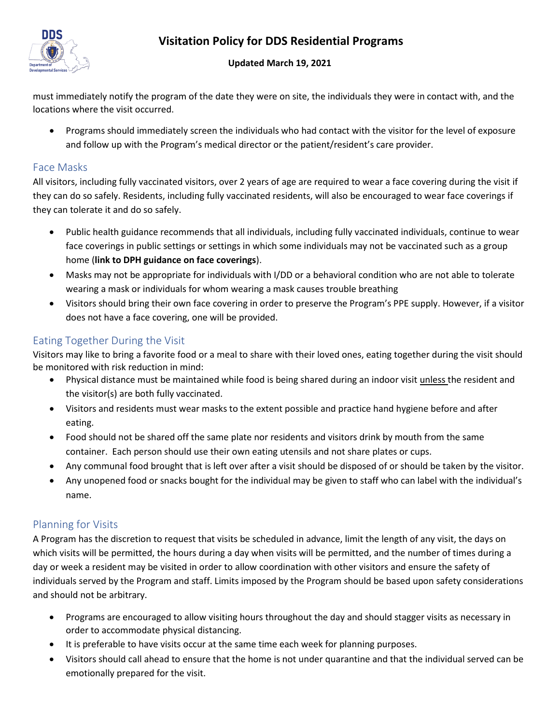

#### **Updated March 19, 2021**

must immediately notify the program of the date they were on site, the individuals they were in contact with, and the locations where the visit occurred.

• Programs should immediately screen the individuals who had contact with the visitor for the level of exposure and follow up with the Program's medical director or the patient/resident's care provider.

### Face Masks

All visitors, including fully vaccinated visitors, over 2 years of age are required to wear a face covering during the visit if they can do so safely. Residents, including fully vaccinated residents, will also be encouraged to wear face coverings if they can tolerate it and do so safely.

- Public health guidance recommends that all individuals, including fully vaccinated individuals, continue to wear face coverings in public settings or settings in which some individuals may not be vaccinated such as a group home (**link to DPH guidance on face coverings**).
- Masks may not be appropriate for individuals with I/DD or a behavioral condition who are not able to tolerate wearing a mask or individuals for whom wearing a mask causes trouble breathing
- Visitors should bring their own face covering in order to preserve the Program's PPE supply. However, if a visitor does not have a face covering, one will be provided.

### Eating Together During the Visit

Visitors may like to bring a favorite food or a meal to share with their loved ones, eating together during the visit should be monitored with risk reduction in mind:

- Physical distance must be maintained while food is being shared during an indoor visit unless the resident and the visitor(s) are both fully vaccinated.
- Visitors and residents must wear masks to the extent possible and practice hand hygiene before and after eating.
- Food should not be shared off the same plate nor residents and visitors drink by mouth from the same container. Each person should use their own eating utensils and not share plates or cups.
- Any communal food brought that is left over after a visit should be disposed of or should be taken by the visitor.
- Any unopened food or snacks bought for the individual may be given to staff who can label with the individual's name.

## Planning for Visits

A Program has the discretion to request that visits be scheduled in advance, limit the length of any visit, the days on which visits will be permitted, the hours during a day when visits will be permitted, and the number of times during a day or week a resident may be visited in order to allow coordination with other visitors and ensure the safety of individuals served by the Program and staff. Limits imposed by the Program should be based upon safety considerations and should not be arbitrary.

- Programs are encouraged to allow visiting hours throughout the day and should stagger visits as necessary in order to accommodate physical distancing.
- It is preferable to have visits occur at the same time each week for planning purposes.
- Visitors should call ahead to ensure that the home is not under quarantine and that the individual served can be emotionally prepared for the visit.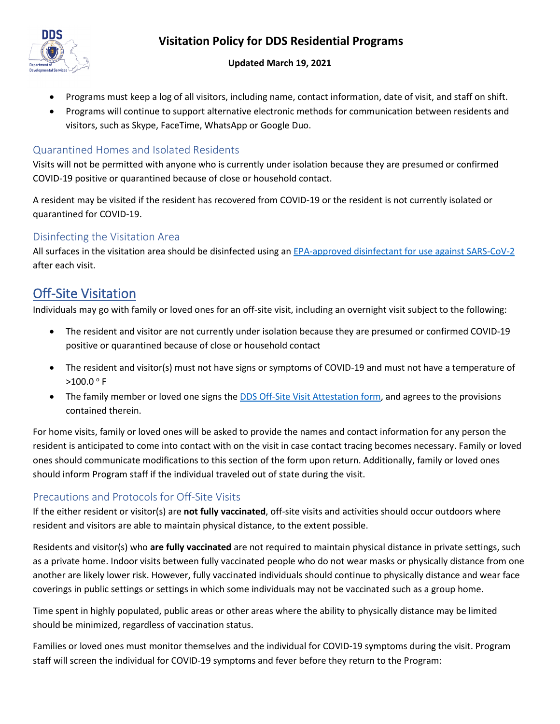

#### **Updated March 19, 2021**

- Programs must keep a log of all visitors, including name, contact information, date of visit, and staff on shift.
- Programs will continue to support alternative electronic methods for communication between residents and visitors, such as Skype, FaceTime, WhatsApp or Google Duo.

### Quarantined Homes and Isolated Residents

Visits will not be permitted with anyone who is currently under isolation because they are presumed or confirmed COVID-19 positive or quarantined because of close or household contact.

A resident may be visited if the resident has recovered from COVID-19 or the resident is not currently isolated or quarantined for COVID-19.

### Disinfecting the Visitation Area

All surfaces in the visitation area should be disinfected using an [EPA-approved disinfectant for use against SARS-CoV-2](https://www.epa.gov/pesticide-registration/list-n-disinfectants-use-against-sars-cov-2) after each visit.

# Off-Site Visitation

Individuals may go with family or loved ones for an off-site visit, including an overnight visit subject to the following:

- The resident and visitor are not currently under isolation because they are presumed or confirmed COVID-19 positive or quarantined because of close or household contact
- The resident and visitor(s) must not have signs or symptoms of COVID-19 and must not have a temperature of  $>100.0$  ° F
- The family member or loved one signs the **DDS Off-Site Visit Attestation form**, and agrees to the provisions contained therein.

For home visits, family or loved ones will be asked to provide the names and contact information for any person the resident is anticipated to come into contact with on the visit in case contact tracing becomes necessary. Family or loved ones should communicate modifications to this section of the form upon return. Additionally, family or loved ones should inform Program staff if the individual traveled out of state during the visit.

### Precautions and Protocols for Off-Site Visits

If the either resident or visitor(s) are **not fully vaccinated**, off-site visits and activities should occur outdoors where resident and visitors are able to maintain physical distance, to the extent possible.

Residents and visitor(s) who **are fully vaccinated** are not required to maintain physical distance in private settings, such as a private home. Indoor visits between fully vaccinated people who do not wear masks or physically distance from one another are likely lower risk. However, fully vaccinated individuals should continue to physically distance and wear face coverings in public settings or settings in which some individuals may not be vaccinated such as a group home.

Time spent in highly populated, public areas or other areas where the ability to physically distance may be limited should be minimized, regardless of vaccination status.

Families or loved ones must monitor themselves and the individual for COVID-19 symptoms during the visit. Program staff will screen the individual for COVID-19 symptoms and fever before they return to the Program: